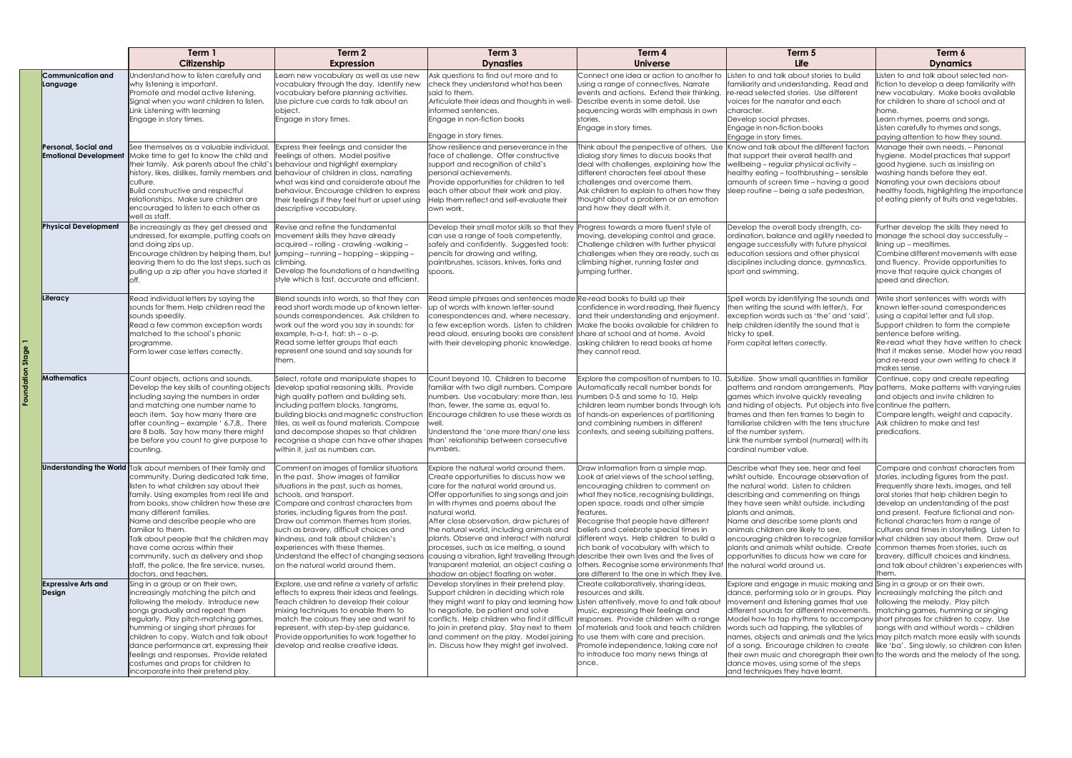|  |                                                      | Term 1<br>Citizenship                                                                                                                                                                                                                                                                                                                                                                                                                                                                                                           | Term 2<br><b>Expression</b>                                                                                                                                                                                                                                                                                                                                                                                                                                                                                                                                                     | Term 3<br><b>Dynasties</b>                                                                                                                                                                                                                                                                                                                                                                                                                              | Term 4<br><b>Universe</b>                                                                                                                                                                                                                                                                                                                                                                                                                                                                                                                                        | Term 5<br>Life                                                                                                                                                                                                                                                                                                                                                                                                                                                                                 | Term 6<br><b>Dynamics</b>                                                                                                                                                                                                                                                                                                                                                                                                                                                                       |
|--|------------------------------------------------------|---------------------------------------------------------------------------------------------------------------------------------------------------------------------------------------------------------------------------------------------------------------------------------------------------------------------------------------------------------------------------------------------------------------------------------------------------------------------------------------------------------------------------------|---------------------------------------------------------------------------------------------------------------------------------------------------------------------------------------------------------------------------------------------------------------------------------------------------------------------------------------------------------------------------------------------------------------------------------------------------------------------------------------------------------------------------------------------------------------------------------|---------------------------------------------------------------------------------------------------------------------------------------------------------------------------------------------------------------------------------------------------------------------------------------------------------------------------------------------------------------------------------------------------------------------------------------------------------|------------------------------------------------------------------------------------------------------------------------------------------------------------------------------------------------------------------------------------------------------------------------------------------------------------------------------------------------------------------------------------------------------------------------------------------------------------------------------------------------------------------------------------------------------------------|------------------------------------------------------------------------------------------------------------------------------------------------------------------------------------------------------------------------------------------------------------------------------------------------------------------------------------------------------------------------------------------------------------------------------------------------------------------------------------------------|-------------------------------------------------------------------------------------------------------------------------------------------------------------------------------------------------------------------------------------------------------------------------------------------------------------------------------------------------------------------------------------------------------------------------------------------------------------------------------------------------|
|  | Communication and<br>Language                        | Understand how to listen carefully and<br>why listening is important.<br>Promote and model active listening.<br>Signal when you want children to listen.<br>Link Listening with learning<br>Engage in story times.                                                                                                                                                                                                                                                                                                              | Learn new vocabulary as well as use new<br>vocabulary through the day. Identify new<br>vocabulary before planning activities.<br>Use picture cue cards to talk about an<br>object.<br>Engage in story times.                                                                                                                                                                                                                                                                                                                                                                    | Ask questions to find out more and to<br>check they understand what has been<br>said to them.<br>Articulate their ideas and thoughts in well-<br>linformed sentences.<br>Engage in non-fiction books<br>Engage in story times.                                                                                                                                                                                                                          | Connect one idea or action to another to<br>using a range of connectives. Narrate<br>events and actions. Extend their thinking.<br>Describe events in some detail. Use<br>sequencing words with emphasis in own<br>stories.<br>Engage in story times.                                                                                                                                                                                                                                                                                                            | Listen to and talk about stories to build<br>familiarity and understanding. Read and<br>re-read selected stories. Use different<br>voices for the narrator and each<br>character.<br>Develop social phrases.<br>Engage in non-fiction books<br>Engage in story times.                                                                                                                                                                                                                          | Listen to and talk about selected non-<br>fiction to develop a deep familiarity with<br>new vocabulary. Make books available<br>for children to share at school and at<br>lhome.<br>Learn rhymes, poems and songs.<br>Listen carefully to rhymes and songs,<br>paying attention to how they sound.                                                                                                                                                                                              |
|  | Personal, Social and<br><b>Emotional Development</b> | See themselves as a valuable individual.<br>Make time to get to know the child and<br>their family. Ask parents about the child's<br>history, likes, dislikes, family members and behaviour of children in class, narrating<br>culture.<br><b>Build constructive and respectful</b><br>relationships. Make sure children are<br>encouraged to listen to each other as<br>well as staff.                                                                                                                                         | Express their feelings and consider the<br>feelings of others. Model positive<br>behaviour and highlight exemplary<br>what was kind and considerate about the<br>behaviour. Encourage children to express<br>their feelings if they feel hurt or upset using<br>descriptive vocabulary.                                                                                                                                                                                                                                                                                         | Show resilience and perseverance in the<br>face of challenge. Offer constructive<br>support and recognition of child's<br>personal achievements.<br>Provide opportunities for children to tell<br>each other about their work and play.<br>Help them reflect and self-evaluate their<br>lown work.                                                                                                                                                      | Think about the perspective of others. Use<br>dialog story times to discuss books that<br>deal with challenges, explaining how the<br>different characters feel about these<br>challenges and overcome them.<br>Ask children to explain to others how they<br>thought about a problem or an emotion<br>and how they dealt with it.                                                                                                                                                                                                                               | Know and talk about the different factors<br>that support their overall health and<br>wellbeing - regular physical activity -<br>healthy eating - toothbrushing - sensible<br>amounts of screen time - having a good<br>sleep routine - being a safe pedestrian,                                                                                                                                                                                                                               | Manage their own needs. - Personal<br>hygiene. Model practices that support<br>good hygiene, such as insisting on<br>washing hands before they eat.<br>Narrating your own decisions about<br>healthy foods, highlighting the importance<br>of eating plenty of fruits and vegetables.                                                                                                                                                                                                           |
|  | <b>Physical Development</b>                          | Be increasingly as they get dressed and<br>undressed, for example, putting coats on<br>and doing zips up.<br>Encourage children by helping them, but<br>leaving them to do the last steps, such as climbing.<br>pulling up a zip after you have started it                                                                                                                                                                                                                                                                      | Revise and refine the fundamental<br>movement skills they have already<br>acquired - rolling - crawling -walking -<br>ljumping – running – hopping – skipping –<br>Develop the foundations of a handwriting<br>style which is fast, accurate and efficient.                                                                                                                                                                                                                                                                                                                     | Develop their small motor skills so that they Progress towards a more fluent style of<br>can use a range of tools competently,<br>safely and confidently. Suggested tools:<br>pencils for drawing and writing,<br>paintbrushes, scissors, knives, forks and<br>spoons.                                                                                                                                                                                  | moving, developing control and grace.<br>Challenge children with further physical<br>challenges when they are ready, such as<br>climbing higher, running faster and<br>jumping further.                                                                                                                                                                                                                                                                                                                                                                          | Develop the overall body strength, co-<br>ordination, balance and agility needed to manage the school day successfully -<br>engage successfully with future physical<br>education sessions and other physical<br>disciplines including dance, gymnastics,<br>sport and swimming.                                                                                                                                                                                                               | Further develop the skills they need to<br>lining up - mealtimes.<br>Combine different movements with ease<br>and fluency. Provide opportunities to<br>move that require quick changes of<br>speed and direction.                                                                                                                                                                                                                                                                               |
|  | Literacy                                             | Read individual letters by saying the<br>sounds for them. Help children read the<br>sounds speedily.<br>Read a few common exception words<br>matched to the school's phonic<br>programme.<br>Form lower case letters correctly.                                                                                                                                                                                                                                                                                                 | Blend sounds into words, so that they can<br>read short words made up of known letter-<br>sounds correspondences. Ask children to<br>work out the word you say in sounds: for<br>example, h-a-t, hat: sh – o -p.<br>Read some letter groups that each<br>represent one sound and say sounds for<br>them.                                                                                                                                                                                                                                                                        | Read simple phrases and sentences made Re-read books to build up their<br>up of words with known letter-sound<br>correspondences and, where necessary,<br>a few exception words. Listen to children<br>read aloud, ensuring books are consistent<br>with their developing phonic knowledge.                                                                                                                                                             | confidence in word reading, their fluency<br>and their understanding and enjoyment.<br>Make the books available for children to<br>share at school and at home. Avoid<br>asking children to read books at home<br>they cannot read.                                                                                                                                                                                                                                                                                                                              | Spell words by identifying the sounds and<br>then writing the sound with letter/s. For<br>exception words such as 'the' and 'said',<br>help children identify the sound that is<br>tricky to spell.<br>Form capital letters correctly.                                                                                                                                                                                                                                                         | Write short sentences with words with<br>known letter-sound correspondences<br>using a capital letter and full stop.<br>Support children to form the complete<br>sentence before writing.<br>Re-read what they have written to check<br>that it makes sense. Model how you read<br>and re-read your own writing to check it<br>makes sense.                                                                                                                                                     |
|  | <b>Mathematics</b>                                   | Count objects, actions and sounds.<br>Develop the key skills of counting objects<br>including saying the numbers in order<br>and matching one number name to<br>each item. Say how many there are<br>after counting - example ' 6,7,8,. There<br>are 8 balls. Say how many there might<br>be before you count to give purpose to<br>counting.                                                                                                                                                                                   | Select, rotate and manipulate shapes to<br>develop spatial reasoning skills. Provide<br>high quality pattern and building sets,<br>including pattern blocks, tangrams,<br>building blocks and magnetic construction<br>tiles, as well as found materials. Compose<br>and decompose shapes so that children<br>recognise a shape can have other shapes<br>within it, just as numbers can.                                                                                                                                                                                        | Count beyond 10. Children to become<br>familiar with two digit numbers. Compare<br>numbers. Use vocabulary: more than, less<br>than, fewer, the same as, equal to.<br>Encourage children to use these words as of hands-on experiences of partitioning<br>/ell.<br>Understand the 'one more than/one less<br>than' relationship between consecutive<br>numbers.                                                                                         | Explore the composition of numbers to 10.<br>Automatically recall number bonds for<br>numbers 0-5 and some to 10. Help<br>children learn number bonds through lots<br>and combining numbers in different<br>contexts, and seeing subitizing pattens.                                                                                                                                                                                                                                                                                                             | Subitize. Show small quantities in familiar<br>patterns and random arrangements. Play patterns. Make patterns with varying rules<br>games which involve quickly revealing<br>and hiding of objects. Put objects into five continue the pattern.<br>frames and then ten frames to begin to<br>familiarise children with the tens structure<br>of the number system.<br>Link the number symbol (numeral) with its<br>cardınal number value.                                                      | Continue, copy and create repeating<br>land objects and invite children to<br>Compare length, weight and capacity.<br>Ask children to make and test<br>predications.                                                                                                                                                                                                                                                                                                                            |
|  |                                                      | Understanding the World Talk about members of their family and<br>community. During dedicated talk time,<br>listen to what children say about their<br>family. Using examples from real life and<br>from books, show children how these are<br>many different families.<br>Name and describe people who are<br>lfamiliar to them.<br>Talk about people that the children may<br>have come across within their<br>community, such as delivery and shop<br>staff, the police, the fire service, nurses,<br>doctors, and teachers. | Comment on images of familiar situations<br>in the past. Show images of familiar<br>situations in the past, such as homes,<br>schools, and transport.<br>Compare and contrast characters from<br>stories, including figures from the past.<br>Draw out common themes from stories,<br>such as bravery, difficult choices and<br>kindness, and talk about children's<br>experiences with these themes.<br>Understand the effect of changing seasons causing a vibration, light travelling through describe their own lives and the lives of<br>on the natural world around them. | ixplore the natural world around them.<br>Create opportunities to discuss how we<br>care for the natural world around us.<br>Offer opportunities to sing songs and join<br>in with rhymes and poems about the<br>natural world.<br>After close observation, draw pictures of<br>the natural world, including animals and<br>plants. Observe and interact with natural<br>processes, such as ice melting, a sound<br>shadow an object floating on water. | Draw information from a simple map.<br>Look at ariel views of the school setting,<br>encouraging children to comment on<br>what they notice, recognising buildings,<br>open space, roads and other simple<br>features.<br>Recognise that people have different<br>beliefs and celebrate special times in<br>different ways. Help children to build a<br>rich bank of vocabulary with which to<br>transparent material, an object casting a others. Recognise some environments that the natural world around us.<br>are different to the one in which they live. | Describe what they see, hear and feel<br>whilst outside. Encourage observation of<br>the natural world. Listen to children<br>describing and commenting on things<br>they have seen whilst outside, including<br>plants and animals.<br>Name and describe some plants and<br>animals children are likely to see,<br>encouraging children to recognize familiar what children say about them. Draw out<br>plants and animals whilst outside. Create<br>opportunities to discuss how we care for | Compare and contrast characters from<br>stories, including figures from the past.<br>Frequently share texts, images, and tell<br>oral stories that help children begin to<br>develop an understanding of the past<br>and present. Feature fictional and non-<br>fictional characters from a range of<br>cultures and times in storytelling. Listen to<br>common themes from stories, such as<br>bravery, difficult choices and kindness,<br>and talk about children's experiences with<br>them. |
|  | <b>Expressive Arts and</b><br>Design                 | Sing in a group or on their own,<br>increasingly matching the pitch and<br>following the melody. Introduce new<br>songs gradually and repeat them<br>regularly. Play pitch-matching games,<br>humming or singing short phrases for<br>children to copy. Watch and talk about<br>dance performance art, expressing their<br>feelings and responses. Provide related<br>costumes and props for children to<br>incorporate into their pretend play.                                                                                | Explore, use and refine a variety of artistic<br>effects to express their ideas and feelings.<br>Teach children to develop their colour<br>mixing techniques to enable them to<br>match the colours they see and want to<br>represent, with step-by-step guidance.<br>Provide opportunities to work together to<br>develop and realise creative ideas.                                                                                                                                                                                                                          | Develop storylines in their pretend play.<br>Support children in deciding which role<br>they might want to play and learning how<br>to negotiate, be patient and solve<br>conflicts. Help children who find it difficult responses. Provide children with a range<br>to join in pretend play. Stay next to them<br>and comment on the play. Model joining to use them with care and precision.<br>in. Discuss how they might get involved.              | Create collaboratively, sharing ideas,<br>resources and skills.<br>Listen attentively, move to and talk about<br>music, expressing their feelings and<br>of materials and tools and teach children<br>Promote independence, taking care not<br>to introduce too many news things at<br>once.                                                                                                                                                                                                                                                                     | Explore and engage in music making and Sing in a group or on their own,<br>dance, performing solo or in groups. Play<br>movement and listening games that use<br>different sounds for different movements.<br>Model how to tap rhythms to accompany short phrases for children to copy. Use<br>words such ad tapping, the syllables of<br>dance moves, using some of the steps<br>and techniques they have learnt.                                                                             | increasingly matching the pitch and<br>following the melody. Play pitch<br>matching games, humming or singing<br>songs with and without words - children<br>names, objects and animals and the lyrics may pitch match more easily with sounds<br>of a song. Encourage children to create like 'ba'. Sing slowly, so children can listen<br>their own music and choregraph their own to the words and the melody of the song.                                                                    |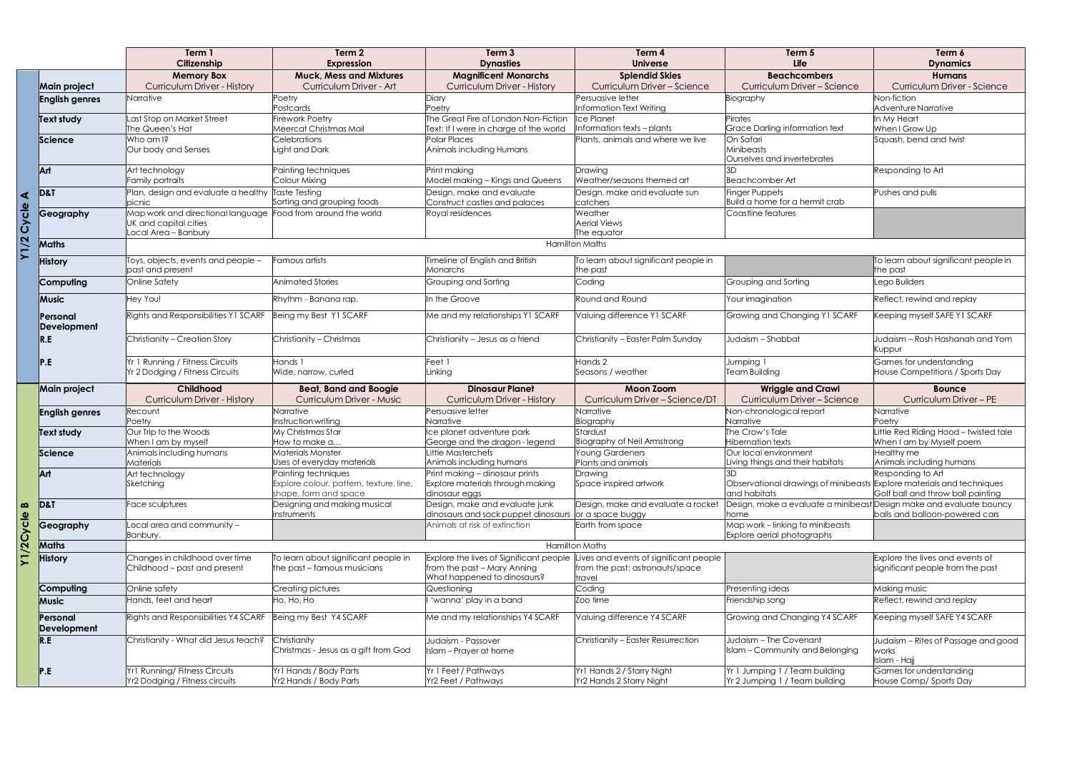|             |                                | Term 1<br>Citizenship                                                              | Term 2<br><b>Expression</b>                                                             | Term <sub>3</sub><br><b>Dynasties</b>                                                                 | Term 4<br><b>Universe</b>                                                          | Term 5<br><b>Life</b>                                                                 | Term 6<br><b>Dynamics</b>                                           |
|-------------|--------------------------------|------------------------------------------------------------------------------------|-----------------------------------------------------------------------------------------|-------------------------------------------------------------------------------------------------------|------------------------------------------------------------------------------------|---------------------------------------------------------------------------------------|---------------------------------------------------------------------|
|             | Main project                   | <b>Memory Box</b><br><b>Curriculum Driver - History</b>                            | <b>Muck, Mess and Mixtures</b><br>Curriculum Driver - Art                               | <b>Magnificent Monarchs</b><br><b>Curriculum Driver - History</b>                                     | <b>Splendid Skies</b><br>Curriculum Driver - Science                               | <b>Beachcombers</b><br>Curriculum Driver - Science                                    | <b>Humans</b><br>Curriculum Driver - Science                        |
|             | <b>English genres</b>          | Narrative                                                                          | Poetry<br>Postcards                                                                     | Diary<br>Poetry                                                                                       | Persuasive letter<br>Information Text Writing                                      | Biography                                                                             | Non-fiction<br><b>Adventure Narrative</b>                           |
|             | Text study                     | Last Stop on Market Street<br>The Queen's Hat                                      | <b>Firework Poetry</b><br>Meercat Christmas Mail                                        | The Great Fire of London Non-Fiction<br>Text: If I were in charge of the world                        | <b>Ice Planet</b><br>Information texts - plants                                    | Pirates<br><b>Grace Darling information text</b>                                      | In My Heart<br>When I Grow Up                                       |
|             | Science                        | Who am I?<br>Our body and Senses                                                   | <b>Celebrations</b><br>Light and Dark                                                   | Polar Places<br>Animals including Humans                                                              | Plants, animals and where we live                                                  | On Safari<br>Minibeasts<br>Ourselves and invertebrates                                | Squash, bend and twist                                              |
|             | Art                            | Art technology<br>Family portraits                                                 | Painting techniques<br>Colour Mixing                                                    | Print making<br>Model making – Kings and Queens                                                       | Drawing<br>Weather/seasons themed art                                              | <b>Beachcomber Art</b>                                                                | Responding to Art                                                   |
| ⋖           | <b>D&amp;T</b>                 | Plan, design and evaluate a healthy Taste Testing<br>picnic                        | Sorting and grouping foods                                                              | Design, make and evaluate<br>Construct castles and palaces                                            | Design, make and evaluate sun<br>catchers                                          | <b>Finger Puppets</b><br>Build a home for a hermit crab                               | Pushes and pulls                                                    |
| Cycle       | Geography                      | Map work and directional language<br>UK and capital cities<br>Local Area - Banbury | Food from around the world                                                              | Royal residences                                                                                      | Weather<br><b>Aerial Views</b><br>The equator                                      | Coastline features                                                                    |                                                                     |
| $\tilde{a}$ | <b>Maths</b>                   |                                                                                    |                                                                                         |                                                                                                       | <b>Hamilton Maths</b>                                                              |                                                                                       |                                                                     |
|             | <b>History</b>                 | Toys, objects, events and people -<br>past and present                             | Famous artists                                                                          | imeline of English and British<br>Monarchs                                                            | To learn about significant people in<br>the past                                   |                                                                                       | To learn about significant people in<br>the past                    |
|             | Computing                      | Online Safety                                                                      | <b>Animated Stories</b>                                                                 | Grouping and Sorting                                                                                  | Coding                                                                             | Grouping and Sorting                                                                  | Lego Builders                                                       |
|             | <b>Music</b>                   | Hey You!                                                                           | Rhythm - Banana rap.                                                                    | In the Groove                                                                                         | Round and Round                                                                    | Your imagination                                                                      | Reflect, rewind and replay                                          |
|             | Personal<br><b>Development</b> | Rights and Responsibilities Y1 SCARF                                               | Being my Best Y1 SCARF                                                                  | Me and my relationships Y1 SCARF                                                                      | Valuing difference Y1 SCARF                                                        | Growing and Changing Y1 SCARF                                                         | Keeping myself SAFE Y1 SCARF                                        |
|             | R.E                            | Christianity - Creation Story                                                      | Christianity - Christmas                                                                | Christianity - Jesus as a friend                                                                      | Christianity - Easter Palm Sunday                                                  | Judaism - Shabbat                                                                     | Judaism – Rosh Hashanah and Yom<br>Kuppur                           |
|             | P.E                            | Yr 1 Running / Fitness Circuits<br>Yr 2 Dodging / Fitness Circuits                 | Hands 1<br>Wide, narrow, curled                                                         | Feet 1<br>Linking                                                                                     | Hands 2<br>Seasons / weather                                                       | Jumping 1<br><b>Team Building</b>                                                     | Games for understanding<br>House Competitions / Sports Day          |
|             | Main project                   | Childhood<br><b>Curriculum Driver - History</b>                                    | <b>Beat, Band and Boogie</b><br><b>Curriculum Driver - Music</b>                        | <b>Dinosaur Planet</b><br><b>Curriculum Driver - History</b>                                          | <b>Moon Zoom</b><br>Curriculum Driver - Science/DT                                 | <b>Wriggle and Crawl</b><br>Curriculum Driver - Science                               | <b>Bounce</b><br>Curriculum Driver - PE                             |
|             | <b>English genres</b>          | Recount                                                                            | Narrative                                                                               | Persuasive letter                                                                                     | Narrative                                                                          | Non-chronological report                                                              | Narrative                                                           |
|             | <b>Text study</b>              | Poetry<br>Our Trip to the Woods                                                    | Instruction writing<br>My Christmas Star<br>How to make a                               | <b>Narrative</b><br>ce planet adventure park                                                          | Biography<br>Stardust<br><b>Biography of Neil Armstrong</b>                        | Narrative<br>The Crow's Tale<br><b>Hibernation texts</b>                              | Poetry<br>ittle Red Riding Hood - twisted tale                      |
|             | Science                        | When I am by myself<br>Animals including humans<br>Materials                       | <b>Materials Monster</b><br>Uses of everyday materials                                  | George and the dragon - legend<br>Little Masterchefs<br>Animals including humans                      | <b>Young Gardeners</b><br>Plants and animals                                       | Our local environment<br>Living things and their habitats                             | When I am by Myself poem<br>Healthy me<br>Animals including humans  |
|             | Art                            | Art technology<br>Sketching                                                        | Painting techniques<br>Explore colour, pattern, texture, line,<br>shape, form and space | Print making - dinosaur prints<br>Explore materials through making<br>dinosaur eggs                   | Drawing<br>Space inspired artwork                                                  | Observational drawings of minibeasts Explore materials and techniques<br>and habitats | Responding to Art<br>Golf ball and throw ball painting              |
| B           | <b>D&amp;T</b>                 | Face sculptures                                                                    | Designing and making musical<br>instruments                                             | Design, make and evaluate junk<br>dinosaurs and sock puppet dinosaurs                                 | Design, make and evaluate a rocket<br>or a space buggy                             | Design, make a evaluate a minibeast<br>home                                           | Design make and evaluate bouncy<br>balls and balloon-powered cars   |
| Cycle       | Geography                      | Local area and community -<br>Banbury.                                             |                                                                                         | Animals at risk of extinction                                                                         | Earth from space                                                                   | Map work - linking to minibeasts<br>Explore aerial photographs                        |                                                                     |
| Y1/20       | Maths                          | <b>Hamilton Maths</b>                                                              |                                                                                         |                                                                                                       |                                                                                    |                                                                                       |                                                                     |
|             | <b>History</b>                 | Changes in childhood over time<br>Childhood – past and present                     | To learn about significant people in<br>the past - famous musicians                     | Explore the lives of Significant people<br>from the past - Mary Anning<br>What happened to dinosaurs? | ives and events of significant people<br>from the past: astronauts/space<br>travel |                                                                                       | Explore the lives and events of<br>significant people from the past |
|             | Computing                      | Online safety                                                                      | Creating pictures                                                                       | Questioning                                                                                           | Coding                                                                             | Presenting ideas                                                                      | Making music                                                        |
|             | <b>Music</b>                   | Hands, feet and heart                                                              | Ho, Ho, Ho                                                                              | 'wanna' play in a band                                                                                | Zoo time                                                                           | Friendship song                                                                       | Reflect, rewind and replay                                          |
|             | Personal<br><b>Development</b> | Rights and Responsibilities Y4 SCARF                                               | Being my Best Y4 SCARF                                                                  | Me and my relationships Y4 SCARF                                                                      | Valuing difference Y4 SCARF                                                        | Growing and Changing Y4 SCARF                                                         | Keeping myself SAFE Y4 SCARF                                        |
|             | R.E                            | Christianity - What did Jesus teach?                                               | Christianity<br>Christmas - Jesus as a gift from God                                    | Judaism - Passover<br>slam - Prayer at home                                                           | Christianity - Easter Resurrection                                                 | Judaism - The Covenant<br>Islam - Community and Belonging                             | Judaism – Rites of Passage and good<br>works<br>Islam - Hajj        |
|             | P.E                            | Yr1 Running/ Fitness Circuits<br>Yr2 Dodging / Fitness circuits                    | Yr1 Hands / Body Parts<br>Yr2 Hands / Body Parts                                        | Yr 1 Feet / Pathways<br>Yr2 Feet / Pathways                                                           | Yr1 Hands 2 / Starry Night<br>Yr2 Hands 2 Starry Night                             | Yr 1 Jumping 1 / Team building<br>Yr 2 Jumping 1 / Team building                      | Games for understanding<br>House Comp/ Sports Day                   |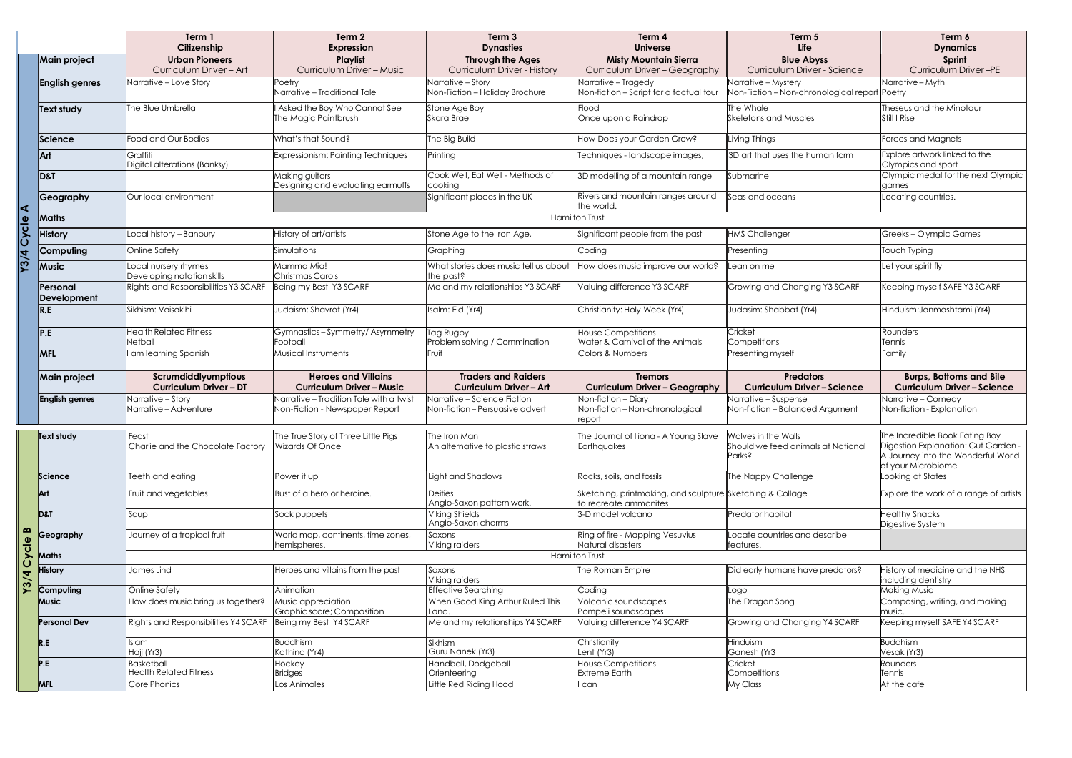|                      |                         | Term 1<br>Citizenship                              | Term 2<br><b>Expression</b>                                                 | Term <sub>3</sub><br><b>Dynasties</b>                         | Term 4<br><b>Universe</b>                                                          | Term 5<br><b>Life</b>                                    | Term 6<br><b>Dynamics</b>                                                                       |  |
|----------------------|-------------------------|----------------------------------------------------|-----------------------------------------------------------------------------|---------------------------------------------------------------|------------------------------------------------------------------------------------|----------------------------------------------------------|-------------------------------------------------------------------------------------------------|--|
|                      | <b>Main project</b>     | <b>Urban Pioneers</b>                              | Playlist                                                                    | <b>Through the Ages</b>                                       | <b>Misty Mountain Sierra</b>                                                       | <b>Blue Abyss</b>                                        | Sprint                                                                                          |  |
|                      |                         | Curriculum Driver - Art                            | Curriculum Driver - Music                                                   | <b>Curriculum Driver - History</b>                            | Curriculum Driver - Geography                                                      | Curriculum Driver - Science                              | Curriculum Driver-PE                                                                            |  |
|                      | <b>English genres</b>   | Narrative - Love Story                             | Poetry                                                                      | Narrative - Story                                             | Narrative - Tragedy                                                                | Narrative - Mystery                                      | Narrative – Myth                                                                                |  |
|                      |                         |                                                    | Narrative - Traditional Tale                                                | Non-Fiction - Holiday Brochure                                | Non-fiction - Script for a factual tour                                            | Non-Fiction - Non-chronological report Poetry            |                                                                                                 |  |
|                      | Text study              | The Blue Umbrella                                  | Asked the Boy Who Cannot See                                                | Stone Age Boy                                                 | Flood                                                                              | The Whale                                                | Theseus and the Minotaur                                                                        |  |
|                      |                         |                                                    | The Magic Paintbrush                                                        | <b>Skara Brae</b>                                             | Once upon a Raindrop                                                               | <b>Skeletons and Muscles</b>                             | Still I Rise                                                                                    |  |
|                      | Science                 | Food and Our Bodies                                | What's that Sound?                                                          | The Big Build                                                 | How Does your Garden Grow?                                                         | Living Things                                            | Forces and Magnets                                                                              |  |
|                      | Art                     | Graffiti<br>Digital alterations (Banksy)           | Expressionism: Painting Techniques                                          | Printing                                                      | Techniques - landscape images,                                                     | 3D art that uses the human form                          | Explore artwork linked to the<br>Olympics and sport                                             |  |
|                      | D&T                     |                                                    | Making guitars<br>Designing and evaluating earmuffs                         | Cook Well, Eat Well - Methods of<br>cooking                   | 3D modelling of a mountain range                                                   | Submarine                                                | Olympic medal for the next Olympic<br>games                                                     |  |
| $\blacktriangleleft$ | Geography               | Our local environment                              |                                                                             | Significant places in the UK                                  | Rivers and mountain ranges around<br>the world.                                    | Seas and oceans                                          | Locating countries.                                                                             |  |
|                      | <b>Maths</b>            |                                                    | <b>Hamilton Trust</b>                                                       |                                                               |                                                                                    |                                                          |                                                                                                 |  |
|                      | <b>History</b>          | Local history - Banbury                            | History of art/artists                                                      | Stone Age to the Iron Age,                                    | Significant people from the past                                                   | <b>HMS Challenger</b>                                    | Greeks-Olympic Games                                                                            |  |
| Y3/4 Cycle           | Computing               | Online Safety                                      | Simulations                                                                 | Graphing                                                      | Coding                                                                             | Presenting                                               | Touch Typing                                                                                    |  |
|                      | <b>Music</b>            | Local nursery rhymes<br>Developing notation skills | Mamma Mia!<br>Christmas Carols                                              | What stories does music tell us about<br>the past?            | How does music improve our world?                                                  | Lean on me                                               | Let your spirit fly                                                                             |  |
|                      | Personal<br>Development | <b>Rights and Responsibilities Y3 SCARF</b>        | Being my Best Y3 SCARF                                                      | Me and my relationships Y3 SCARF                              | Valuing difference Y3 SCARF                                                        | Growing and Changing Y3 SCARF                            | Keeping myself SAFE Y3 SCARF                                                                    |  |
|                      | $\overline{R.E}$        | Sikhism: Vaisakihi                                 | Judaism: Shavrot (Yr4)                                                      | Isalm: Eid (Yr4)                                              | Christianity: Holy Week (Yr4)                                                      | Judasim: Shabbat (Yr4)                                   | Hinduism: Janmashtami (Yr4)                                                                     |  |
|                      | P.E                     | <b>Health Related Fitness</b><br><b>Netball</b>    | Gymnastics-Symmetry/Asymmetry<br>Football                                   | Tag Rugby<br>Problem solving / Commination                    | <b>House Competitions</b><br>Water & Carnival of the Animals                       | Cricket<br>Competitions                                  | Rounders<br>Tennis                                                                              |  |
|                      | <b>MFL</b>              | am learning Spanish                                | Musical Instruments                                                         | Fruit                                                         | Colors & Numbers                                                                   | Presenting myself                                        | Family                                                                                          |  |
|                      | Main project            | Scrumdiddlyumptious                                | <b>Heroes and Villains</b>                                                  | <b>Traders and Raiders</b>                                    | <b>Tremors</b>                                                                     | <b>Predators</b>                                         | <b>Burps, Bottoms and Bile</b>                                                                  |  |
|                      |                         | <b>Curriculum Driver - DT</b>                      | <b>Curriculum Driver - Music</b><br>Narrative - Tradition Tale with a twist | <b>Curriculum Driver - Art</b><br>Narrative - Science Fiction | <b>Curriculum Driver - Geography</b><br>Non-fiction - Diary                        | <b>Curriculum Driver-Science</b><br>Narrative - Suspense | <b>Curriculum Driver-Science</b><br>Narrative – Comedy                                          |  |
|                      | <b>English genres</b>   | Narrative - Story<br>Narrative – Adventure         | Non-Fiction - Newspaper Report                                              | Non-fiction-Persuasive advert                                 | Non-fiction - Non-chronological<br>report                                          | Non-fiction - Balanced Argument                          | Non-fiction - Explanation                                                                       |  |
|                      | Text study              | Feast                                              | The True Story of Three Little Pigs                                         | The Iron Man                                                  | The Journal of Iliona - A Young Slave                                              | Wolves in the Walls                                      | The Incredible Book Eating Boy                                                                  |  |
|                      |                         | Charlie and the Chocolate Factory                  | Wizards Of Once                                                             | An alternative to plastic straws                              | Earthquakes                                                                        | Should we feed animals at National<br>Parks?             | Digestion Explanation: Gut Garden -<br>A Journey into the Wonderful World<br>of your Microbiome |  |
|                      | Science                 | Teeth and eating                                   | Power it up                                                                 | Light and Shadows                                             | Rocks, soils, and fossils                                                          | The Nappy Challenge                                      | ooking at States                                                                                |  |
|                      | Art                     | Fruit and vegetables                               | Bust of a hero or heroine.                                                  | <b>Deities</b><br>Anglo-Saxon pattern work.                   | Sketching, printmaking, and sculpture Sketching & Collage<br>to recreate ammonites |                                                          | Explore the work of a range of artists                                                          |  |
|                      | D&T                     | Soup                                               | Sock puppets                                                                | <b>Viking Shields</b><br>Anglo-Saxon charms                   | 3-D model volcano                                                                  | Predator habitat                                         | <b>Healthy Snacks</b><br>Digestive System                                                       |  |
| ≃                    | Geography               | Journey of a tropical fruit                        | World map, continents, time zones,<br>hemispheres.                          | Saxons<br>Viking raiders                                      | Ring of fire - Mapping Vesuvius<br>Natural disasters                               | Locate countries and describe<br>features.               |                                                                                                 |  |
| Cycle                | Maths                   |                                                    |                                                                             |                                                               | <b>Hamilton Trust</b>                                                              |                                                          |                                                                                                 |  |
| Y3/4                 | <b>History</b>          | James Lind                                         | Heroes and villains from the past                                           | Saxons<br>Viking raiders                                      | The Roman Empire                                                                   | Did early humans have predators?                         | History of medicine and the NHS<br>ncluding dentistry                                           |  |
|                      | Computing               | <b>Online Safety</b>                               | Animation                                                                   | <b>Effective Searching</b>                                    | Coding                                                                             | Logo                                                     | <b>Making Music</b>                                                                             |  |
|                      | Music                   | How does music bring us together?                  | Music appreciation                                                          | When Good King Arthur Ruled This                              | Volcanic soundscapes                                                               | The Dragon Song                                          | Composing, writing, and making                                                                  |  |
|                      | <b>Personal Dev</b>     | <b>Rights and Responsibilities Y4 SCARF</b>        | Graphic score; Composition<br>Being my Best Y4 SCARF                        | Land.<br>Me and my relationships Y4 SCARF                     | Pompeii soundscapes<br>Valuing difference Y4 SCARF                                 | Growing and Changing Y4 SCARF                            | music.<br>Keeping myself SAFE Y4 SCARF                                                          |  |
|                      |                         |                                                    |                                                                             |                                                               |                                                                                    |                                                          |                                                                                                 |  |
|                      | R.E                     | Islam<br>Hajj (Yr3)                                | <b>Buddhism</b><br>Kathina (Yr4)                                            | Sikhism<br>Guru Nanek (Yr3)                                   | Christianity<br>Lent (Yr3)                                                         | Hinduism<br>Ganesh (Yr3                                  | <b>Buddhism</b><br>Vesak (Yr3)                                                                  |  |
|                      | P.E                     | Basketball                                         | Hockey                                                                      | Handball, Dodgeball                                           | <b>House Competitions</b>                                                          | Cricket                                                  | Rounders                                                                                        |  |
|                      |                         | <b>Health Related Fitness</b>                      | <b>Bridges</b>                                                              | Orienteering                                                  | <b>Extreme Earth</b>                                                               | Competitions                                             | Tennis                                                                                          |  |
|                      | <b>MFL</b>              | Core Phonics                                       | Los Animales                                                                | Little Red Riding Hood                                        | can                                                                                | My Class                                                 | At the cafe                                                                                     |  |

| Term <sub>5</sub><br>Life                                            | Term 6<br><b>Dynamics</b>                                                                                                         |
|----------------------------------------------------------------------|-----------------------------------------------------------------------------------------------------------------------------------|
| <b>Blue Abyss</b><br>Curriculum Driver - Science                     | <b>Sprint</b><br>Curriculum Driver-PE                                                                                             |
| Narrative - Mystery<br>Non-Fiction - Non-chronological report Poetry | Narrative - Myth                                                                                                                  |
| The Whale<br><b>Skeletons and Muscles</b>                            | Theseus and the Minotaur<br>Still I Rise                                                                                          |
| Living Things                                                        | Forces and Magnets                                                                                                                |
| 3D art that uses the human form                                      | Explore artwork linked to the<br>Olympics and sport                                                                               |
| Submarine                                                            | Olympic medal for the next Olympic<br>games                                                                                       |
| Seas and oceans                                                      | Locating countries.                                                                                                               |
|                                                                      |                                                                                                                                   |
| <b>HMS Challenger</b>                                                | Greeks-Olympic Games                                                                                                              |
| Presenting                                                           | <b>Touch Typing</b>                                                                                                               |
| Lean on me                                                           | Let your spirit fly                                                                                                               |
| Growing and Changing Y3 SCARF                                        | Keeping myself SAFE Y3 SCARF                                                                                                      |
| Judasim: Shabbat (Yr4)                                               | Hinduism: Janmashtami (Yr4)                                                                                                       |
| Cricket<br>Competitions                                              | Rounders<br>Tennis                                                                                                                |
| Presenting myself                                                    | Family                                                                                                                            |
| <b>Predators</b><br><b>Curriculum Driver-Science</b>                 | <b>Burps, Bottoms and Bile</b><br><b>Curriculum Driver-Science</b>                                                                |
| Narrative - Suspense<br>Non-fiction - Balanced Argument              | Narrative - Comedy<br>Non-fiction - Explanation                                                                                   |
| Wolves in the Walls<br>Should we feed animals at National<br>Parks?  | The Incredible Book Eating Boy<br>Digestion Explanation: Gut Garden -<br>A Journey into the Wonderful World<br>of your Microbiome |
| The Nappy Challenge                                                  | ooking at States                                                                                                                  |
| Sketching & Collage                                                  | Explore the work of a range of artists                                                                                            |
| Predator habitat                                                     | <b>Healthy Snacks</b><br>Digestive System                                                                                         |
| Locate countries and describe<br>features.                           |                                                                                                                                   |
| Did early humans have predators?                                     | History of medicine and the NHS                                                                                                   |
|                                                                      | ncluding dentistry                                                                                                                |
| Logo<br>The Dragon Song                                              | <b>Making Music</b><br>Composing, writing, and making                                                                             |
|                                                                      | music.                                                                                                                            |
| Growing and Changing Y4 SCARF                                        | Keeping myself SAFE Y4 SCARF                                                                                                      |
| Hinduism<br>Ganesh (Yr3                                              | <b>Buddhism</b><br>Vesak (Yr3)                                                                                                    |
| Cricket                                                              | Rounders                                                                                                                          |
| Competitions<br>My Class                                             | Tennis<br>At the cafe                                                                                                             |
|                                                                      |                                                                                                                                   |